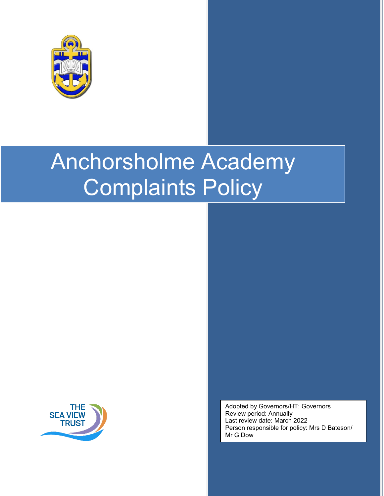

# Anchorsholme Academy Complaints Policy



Adopted by Governors/HT: Governors Review period: Annually Last review date: March 2022 Person responsible for policy: Mrs D Bateson/ Mr G Dow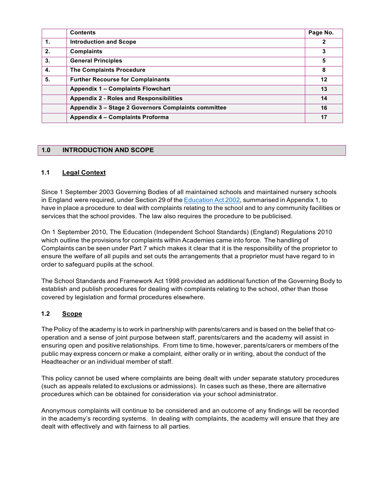|                | <b>Contents</b>                                     | Page No. |
|----------------|-----------------------------------------------------|----------|
| $\mathbf{1}$ . | <b>Introduction and Scope</b>                       | 2        |
| 2.             | <b>Complaints</b>                                   | 3        |
| 3.             | <b>General Principles</b>                           | 5        |
| 4.             | <b>The Complaints Procedure</b>                     | 8        |
| 5.             | <b>Further Recourse for Complainants</b>            | 12       |
|                | <b>Appendix 1 - Complaints Flowchart</b>            | 13       |
|                | <b>Appendix 2 - Roles and Responsibilities</b>      | 14       |
|                | Appendix 3 - Stage 2 Governors Complaints committee | 16       |
|                | Appendix 4 - Complaints Proforma                    | 17       |

## **1.0 INTRODUCTION AND SCOPE**

## **1.1 Legal Context**

Since 1 September 2003 Governing Bodies of all maintained schools and maintained nursery schools in England were required, under Section 29 of the Education Act 2002, summarised in Appendix 1, to have in place a procedure to deal with complaints relating to the school and to any community facilities or services that the school provides. The law also requires the procedure to be publicised.

On 1 September 2010, The Education (Independent School Standards) (England) Regulations 2010 which outline the provisions for complaints within Academies came into force. The handling of Complaints can be seen under Part 7 which makes it clear that it is the responsibility of the proprietor to ensure the welfare of all pupils and set outs the arrangements that a proprietor must have regard to in order to safeguard pupils at the school.

The School Standards and Framework Act 1998 provided an additional function of the Governing Body to establish and publish procedures for dealing with complaints relating to the school, other than those covered by legislation and formal procedures elsewhere.

## **1.2 Scope**

The Policy of the academy is to work in partnership with parents/carers and is based on the belief that co‐ operation and a sense of joint purpose between staff, parents/carers and the academy will assist in ensuring open and positive relationships. From time to time, however, parents/carers or members of the public may express concern or make a complaint, either orally or in writing, about the conduct of the Headteacher or an individual member of staff.

This policy cannot be used where complaints are being dealt with under separate statutory procedures (such as appeals related to exclusions or admissions). In cases such as these, there are alternative procedures which can be obtained for consideration via your school administrator.

Anonymous complaints will continue to be considered and an outcome of any findings will be recorded in the academy's recording systems. In dealing with complaints, the academy will ensure that they are dealt with effectively and with fairness to all parties.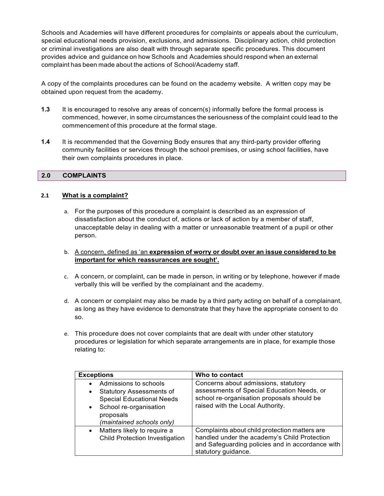Schools and Academies will have different procedures for complaints or appeals about the curriculum, special educational needs provision, exclusions, and admissions. Disciplinary action, child protection or criminal investigations are also dealt with through separate specific procedures. This document provides advice and guidance on how Schools and Academies should respond when an external complaint has been made about the actions of School/Academy staff.

A copy of the complaints procedures can be found on the academy website. A written copy may be obtained upon request from the academy.

- **1.3** It is encouraged to resolve any areas of concern(s) informally before the formal process is commenced, however, in some circumstances the seriousness of the complaint could lead to the commencement of this procedure at the formal stage.
- **1.4** It is recommended that the Governing Body ensures that any third-party provider offering community facilities or services through the school premises, or using school facilities, have their own complaints procedures in place.

#### **2.0 COMPLAINTS**

#### **2.1 What is a complaint?**

- a. For the purposes of this procedure a complaint is described as an expression of dissatisfaction about the conduct of, actions or lack of action by a member of staff, unacceptable delay in dealing with a matter or unreasonable treatment of a pupil or other person.
- b. A concern, defined as 'an **expression of worry or doubt over an issue considered to be important for which reassurances are sought'.**
- c. A concern, or complaint, can be made in person, in writing or by telephone, however if made verbally this will be verified by the complainant and the academy.
- d. A concern or complaint may also be made by a third party acting on behalf of a complainant, as long as they have evidence to demonstrate that they have the appropriate consent to do so.
- e. This procedure does not cover complaints that are dealt with under other statutory procedures or legislation for which separate arrangements are in place, for example those relating to:

| <b>Exceptions</b>                                                                                                                                                                                       | Who to contact                                                                                                                                                           |
|---------------------------------------------------------------------------------------------------------------------------------------------------------------------------------------------------------|--------------------------------------------------------------------------------------------------------------------------------------------------------------------------|
| Admissions to schools<br>$\bullet$<br><b>Statutory Assessments of</b><br>$\bullet$<br><b>Special Educational Needs</b><br>School re-organisation<br>$\bullet$<br>proposals<br>(maintained schools only) | Concerns about admissions, statutory<br>assessments of Special Education Needs, or<br>school re-organisation proposals should be<br>raised with the Local Authority.     |
| Matters likely to require a<br>$\bullet$<br><b>Child Protection Investigation</b>                                                                                                                       | Complaints about child protection matters are<br>handled under the academy's Child Protection<br>and Safeguarding policies and in accordance with<br>statutory guidance. |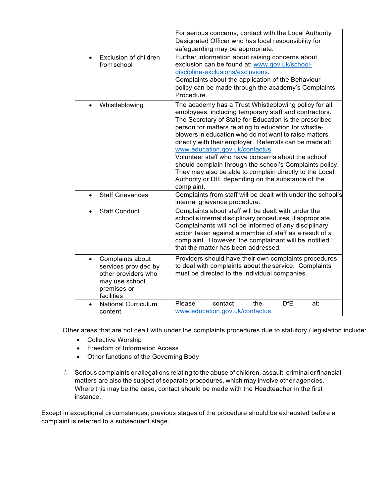|                                                                                                                             | For serious concerns, contact with the Local Authority<br>Designated Officer who has local responsibility for<br>safeguarding may be appropriate.                                                                                                                                                                                                                                                                                                                                                                                                                                                                                        |
|-----------------------------------------------------------------------------------------------------------------------------|------------------------------------------------------------------------------------------------------------------------------------------------------------------------------------------------------------------------------------------------------------------------------------------------------------------------------------------------------------------------------------------------------------------------------------------------------------------------------------------------------------------------------------------------------------------------------------------------------------------------------------------|
| Exclusion of children<br>from school                                                                                        | Further information about raising concerns about<br>exclusion can be found at: www.gov.uk/school-<br>discipline-exclusions/exclusions.<br>Complaints about the application of the Behaviour<br>policy can be made through the academy's Complaints<br>Procedure.                                                                                                                                                                                                                                                                                                                                                                         |
| Whistleblowing<br>$\bullet$                                                                                                 | The academy has a Trust Whistleblowing policy for all<br>employees, including temporary staff and contractors.<br>The Secretary of State for Education is the prescribed<br>person for matters relating to education for whistle-<br>blowers in education who do not want to raise matters<br>directly with their employer. Referrals can be made at:<br>www.education.gov.uk/contactus.<br>Volunteer staff who have concerns about the school<br>should complain through the school's Complaints policy.<br>They may also be able to complain directly to the Local<br>Authority or DfE depending on the substance of the<br>complaint. |
| <b>Staff Grievances</b><br>$\bullet$                                                                                        | Complaints from staff will be dealt with under the school's<br>internal grievance procedure.                                                                                                                                                                                                                                                                                                                                                                                                                                                                                                                                             |
| <b>Staff Conduct</b>                                                                                                        | Complaints about staff will be dealt with under the<br>school's internal disciplinary procedures, if appropriate.<br>Complainants will not be informed of any disciplinary<br>action taken against a member of staff as a result of a<br>complaint. However, the complainant will be notified<br>that the matter has been addressed.                                                                                                                                                                                                                                                                                                     |
| Complaints about<br>$\bullet$<br>services provided by<br>other providers who<br>may use school<br>premises or<br>facilities | Providers should have their own complaints procedures<br>to deal with complaints about the service. Complaints<br>must be directed to the individual companies.                                                                                                                                                                                                                                                                                                                                                                                                                                                                          |
| <b>National Curriculum</b><br>content                                                                                       | <b>DfE</b><br>contact<br>the<br>Please<br>at:<br>www.education.gov.uk/contactus                                                                                                                                                                                                                                                                                                                                                                                                                                                                                                                                                          |

Other areas that are not dealt with under the complaints procedures due to statutory / legislation include:

- Collective Worship
- Freedom of Information Access
- Other functions of the Governing Body
- f. Serious complaints or allegations relating to the abuse of children, assault, criminal or financial matters are also the subject of separate procedures, which may involve other agencies. Where this may be the case, contact should be made with the Headteacher in the first instance.

Except in exceptional circumstances, previous stages of the procedure should be exhausted before a complaint is referred to a subsequent stage.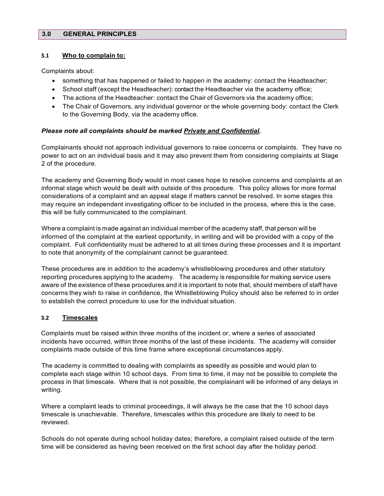## **3.0 GENERAL PRINCIPLES**

#### **3.1 Who to complain to:**

Complaints about:

- something that has happened or failed to happen in the academy: contact the Headteacher;
- School staff (except the Headteacher): contact the Headteacher via the academy office;
- The actions of the Headteacher: contact the Chair of Governors via the academy office;
- The Chair of Governors, any individual governor or the whole governing body: contact the Clerk to the Governing Body, via the academy office.

## *Please note all complaints should be marked Private and Confidential.*

Complainants should not approach individual governors to raise concerns or complaints. They have no power to act on an individual basis and it may also prevent them from considering complaints at Stage 2 of the procedure.

The academy and Governing Body would in most cases hope to resolve concerns and complaints at an informal stage which would be dealt with outside of this procedure. This policy allows for more formal considerations of a complaint and an appeal stage if matters cannot be resolved. In some stages this may require an independent investigating officer to be included in the process, where this is the case, this will be fully communicated to the complainant.

Where a complaint is made against an individual member of the academy staff, that person will be informed of the complaint at the earliest opportunity, in writing and will be provided with a copy of the complaint. Full confidentiality must be adhered to at all times during these processes and it is important to note that anonymity of the complainant cannot be guaranteed.

These procedures are in addition to the academy's whistleblowing procedures and other statutory reporting procedures applying to the academy. The academy is responsible for making service users aware of the existence of these procedures and it is important to note that, should members of staff have concerns they wish to raise in confidence, the Whistleblowing Policy should also be referred to in order to establish the correct procedure to use for the individual situation.

## **3.2 Timescales**

Complaints must be raised within three months of the incident or, where a series of associated incidents have occurred, within three months of the last of these incidents. The academy will consider complaints made outside of this time frame where exceptional circumstances apply.

The academy is committed to dealing with complaints as speedily as possible and would plan to complete each stage within 10 school days. From time to time, it may not be possible to complete the process in that timescale. Where that is not possible, the complainant will be informed of any delays in writing.

Where a complaint leads to criminal proceedings, it will always be the case that the 10 school days timescale is unachievable. Therefore, timescales within this procedure are likely to need to be reviewed.

Schools do not operate during school holiday dates; therefore, a complaint raised outside of the term time will be considered as having been received on the first school day after the holiday period.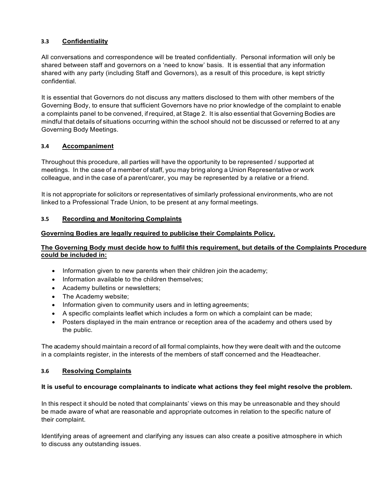# **3.3 Confidentiality**

All conversations and correspondence will be treated confidentially. Personal information will only be shared between staff and governors on a 'need to know' basis. It is essential that any information shared with any party (including Staff and Governors), as a result of this procedure, is kept strictly confidential.

It is essential that Governors do not discuss any matters disclosed to them with other members of the Governing Body, to ensure that sufficient Governors have no prior knowledge of the complaint to enable a complaints panel to be convened, if required, at Stage 2. It is also essential that Governing Bodies are mindful that details of situations occurring within the school should not be discussed or referred to at any Governing Body Meetings.

## **3.4 Accompaniment**

Throughout this procedure, all parties will have the opportunity to be represented / supported at meetings. In the case of a member of staff, you may bring along a Union Representative or work colleague, and in the case of a parent/carer, you may be represented by a relative or a friend.

It is not appropriate for solicitors or representatives of similarly professional environments, who are not linked to a Professional Trade Union, to be present at any formal meetings.

## **3.5 Recording and Monitoring Complaints**

## **Governing Bodies are legally required to publicise their Complaints Policy.**

## **The Governing Body must decide how to fulfil this requirement, but details of the Complaints Procedure could be included in:**

- Information given to new parents when their children join the academy;
- Information available to the children themselves;
- Academy bulletins or newsletters;
- The Academy website;
- Information given to community users and in letting agreements;
- A specific complaints leaflet which includes a form on which a complaint can be made;
- Posters displayed in the main entrance or reception area of the academy and others used by the public.

The academy should maintain a record of all formal complaints, how they were dealt with and the outcome in a complaints register, in the interests of the members of staff concerned and the Headteacher.

## **3.6 Resolving Complaints**

## **It is useful to encourage complainants to indicate what actions they feel might resolve the problem.**

In this respect it should be noted that complainants' views on this may be unreasonable and they should be made aware of what are reasonable and appropriate outcomes in relation to the specific nature of their complaint.

Identifying areas of agreement and clarifying any issues can also create a positive atmosphere in which to discuss any outstanding issues.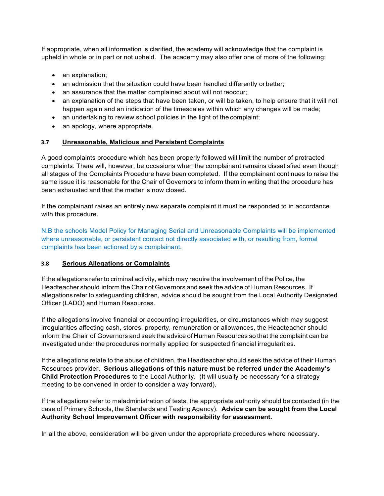If appropriate, when all information is clarified, the academy will acknowledge that the complaint is upheld in whole or in part or not upheld. The academy may also offer one of more of the following:

- an explanation;
- an admission that the situation could have been handled differently or better;
- an assurance that the matter complained about will not reoccur;
- an explanation of the steps that have been taken, or will be taken, to help ensure that it will not happen again and an indication of the timescales within which any changes will be made;
- an undertaking to review school policies in the light of the complaint;
- an apology, where appropriate.

## **3.7 Unreasonable, Malicious and Persistent Complaints**

A good complaints procedure which has been properly followed will limit the number of protracted complaints. There will, however, be occasions when the complainant remains dissatisfied even though all stages of the Complaints Procedure have been completed. If the complainant continues to raise the same issue it is reasonable for the Chair of Governors to inform them in writing that the procedure has been exhausted and that the matter is now closed.

If the complainant raises an entirely new separate complaint it must be responded to in accordance with this procedure.

N.B the schools Model Policy for Managing Serial and Unreasonable Complaints will be implemented where unreasonable, or persistent contact not directly associated with, or resulting from, formal complaints has been actioned by a complainant.

## **3.8 Serious Allegations or Complaints**

If the allegations refer to criminal activity, which may require the involvement of the Police, the Headteacher should inform the Chair of Governors and seek the advice of Human Resources. If allegations refer to safeguarding children, advice should be sought from the Local Authority Designated Officer (LADO) and Human Resources.

If the allegations involve financial or accounting irregularities, or circumstances which may suggest irregularities affecting cash, stores, property, remuneration or allowances, the Headteacher should inform the Chair of Governors and seek the advice of Human Resources so that the complaint can be investigated under the procedures normally applied for suspected financial irregularities.

If the allegations relate to the abuse of children, the Headteacher should seek the advice of their Human Resources provider. **Serious allegations of this nature must be referred under the Academy's Child Protection Procedures** to the Local Authority. (It will usually be necessary for a strategy meeting to be convened in order to consider a way forward).

If the allegations refer to maladministration of tests, the appropriate authority should be contacted (in the case of Primary Schools, the Standards and Testing Agency). **Advice can be sought from the Local Authority School Improvement Officer with responsibility for assessment.**

In all the above, consideration will be given under the appropriate procedures where necessary.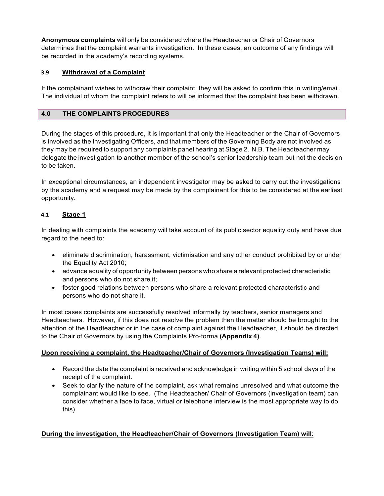**Anonymous complaints** will only be considered where the Headteacher or Chair of Governors determines that the complaint warrants investigation. In these cases, an outcome of any findings will be recorded in the academy's recording systems.

## **3.9 Withdrawal of a Complaint**

If the complainant wishes to withdraw their complaint, they will be asked to confirm this in writing/email. The individual of whom the complaint refers to will be informed that the complaint has been withdrawn.

## **4.0 THE COMPLAINTS PROCEDURES**

During the stages of this procedure, it is important that only the Headteacher or the Chair of Governors is involved as the Investigating Officers, and that members of the Governing Body are not involved as they may be required to support any complaints panel hearing at Stage 2. N.B. The Headteacher may delegate the investigation to another member of the school's senior leadership team but not the decision to be taken.

In exceptional circumstances, an independent investigator may be asked to carry out the investigations by the academy and a request may be made by the complainant for this to be considered at the earliest opportunity*.* 

## **4.1 Stage 1**

In dealing with complaints the academy will take account of its public sector equality duty and have due regard to the need to:

- eliminate discrimination, harassment, victimisation and any other conduct prohibited by or under the Equality Act 2010;
- advance equality of opportunity between persons who share a relevant protected characteristic and persons who do not share it;
- foster good relations between persons who share a relevant protected characteristic and persons who do not share it.

In most cases complaints are successfully resolved informally by teachers, senior managers and Headteachers. However, if this does not resolve the problem then the matter should be brought to the attention of the Headteacher or in the case of complaint against the Headteacher, it should be directed to the Chair of Governors by using the Complaints Pro‐forma **(Appendix 4)**.

## **Upon receiving a complaint, the Headteacher/Chair of Governors (Investigation Teams) will:**

- Record the date the complaint is received and acknowledge in writing within 5 school days of the receipt of the complaint.
- Seek to clarify the nature of the complaint, ask what remains unresolved and what outcome the complainant would like to see. (The Headteacher/ Chair of Governors (investigation team) can consider whether a face to face, virtual or telephone interview is the most appropriate way to do this).

# **During the investigation, the Headteacher/Chair of Governors (Investigation Team) will**: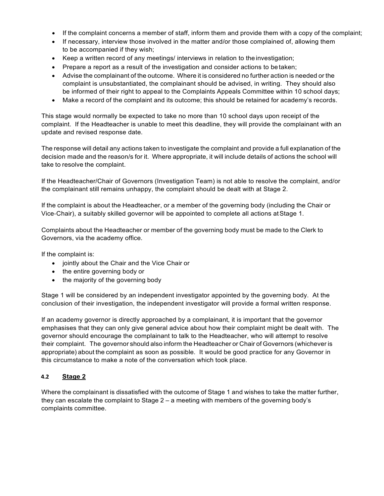- If the complaint concerns a member of staff, inform them and provide them with a copy of the complaint;
- If necessary, interview those involved in the matter and/or those complained of, allowing them to be accompanied if they wish;
- Keep a written record of any meetings/ interviews in relation to the investigation;
- Prepare a report as a result of the investigation and consider actions to be taken;
- Advise the complainant of the outcome. Where it is considered no further action is needed or the complaint is unsubstantiated, the complainant should be advised, in writing. They should also be informed of their right to appeal to the Complaints Appeals Committee within 10 school days;
- Make a record of the complaint and its outcome; this should be retained for academy's records.

This stage would normally be expected to take no more than 10 school days upon receipt of the complaint. If the Headteacher is unable to meet this deadline, they will provide the complainant with an update and revised response date.

The response will detail any actions taken to investigate the complaint and provide a full explanation of the decision made and the reason/s for it. Where appropriate, it will include details of actions the school will take to resolve the complaint.

If the Headteacher/Chair of Governors (Investigation Team) is not able to resolve the complaint, and/or the complainant still remains unhappy, the complaint should be dealt with at Stage 2.

If the complaint is about the Headteacher, or a member of the governing body (including the Chair or Vice‐Chair), a suitably skilled governor will be appointed to complete all actions atStage 1.

Complaints about the Headteacher or member of the governing body must be made to the Clerk to Governors, via the academy office.

If the complaint is:

- jointly about the Chair and the Vice Chair or
- the entire governing body or
- the majority of the governing body

Stage 1 will be considered by an independent investigator appointed by the governing body. At the conclusion of their investigation, the independent investigator will provide a formal written response.

If an academy governor is directly approached by a complainant, it is important that the governor emphasises that they can only give general advice about how their complaint might be dealt with. The governor should encourage the complainant to talk to the Headteacher, who will attempt to resolve their complaint. The governor should also inform the Headteacher or Chair of Governors (whichever is appropriate) about the complaint as soon as possible. It would be good practice for any Governor in this circumstance to make a note of the conversation which took place.

## **4.2 Stage 2**

Where the complainant is dissatisfied with the outcome of Stage 1 and wishes to take the matter further, they can escalate the complaint to Stage 2 – a meeting with members of the governing body's complaints committee.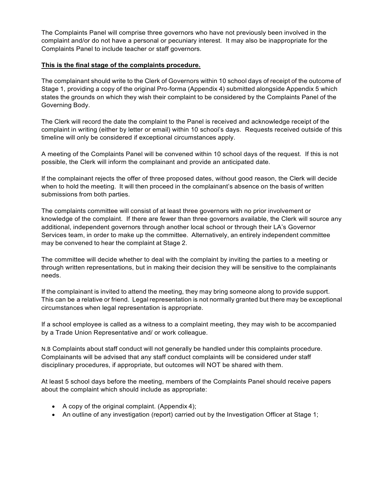The Complaints Panel will comprise three governors who have not previously been involved in the complaint and/or do not have a personal or pecuniary interest. It may also be inappropriate for the Complaints Panel to include teacher or staff governors.

## **This is the final stage of the complaints procedure.**

The complainant should write to the Clerk of Governors within 10 school days of receipt of the outcome of Stage 1, providing a copy of the original Pro‐forma (Appendix 4) submitted alongside Appendix 5 which states the grounds on which they wish their complaint to be considered by the Complaints Panel of the Governing Body.

The Clerk will record the date the complaint to the Panel is received and acknowledge receipt of the complaint in writing (either by letter or email) within 10 school's days. Requests received outside of this timeline will only be considered if exceptional circumstances apply.

A meeting of the Complaints Panel will be convened within 10 school days of the request. If this is not possible, the Clerk will inform the complainant and provide an anticipated date.

If the complainant rejects the offer of three proposed dates, without good reason, the Clerk will decide when to hold the meeting. It will then proceed in the complainant's absence on the basis of written submissions from both parties.

The complaints committee will consist of at least three governors with no prior involvement or knowledge of the complaint. If there are fewer than three governors available, the Clerk will source any additional, independent governors through another local school or through their LA's Governor Services team, in order to make up the committee. Alternatively, an entirely independent committee may be convened to hear the complaint at Stage 2.

The committee will decide whether to deal with the complaint by inviting the parties to a meeting or through written representations, but in making their decision they will be sensitive to the complainants needs.

If the complainant is invited to attend the meeting, they may bring someone along to provide support. This can be a relative or friend. Legal representation is not normally granted but there may be exceptional circumstances when legal representation is appropriate.

If a school employee is called as a witness to a complaint meeting, they may wish to be accompanied by a Trade Union Representative and/ or work colleague.

N.B Complaints about staff conduct will not generally be handled under this complaints procedure. Complainants will be advised that any staff conduct complaints will be considered under staff disciplinary procedures, if appropriate, but outcomes will NOT be shared with them.

At least 5 school days before the meeting, members of the Complaints Panel should receive papers about the complaint which should include as appropriate:

- A copy of the original complaint. (Appendix 4);
- An outline of any investigation (report) carried out by the Investigation Officer at Stage 1;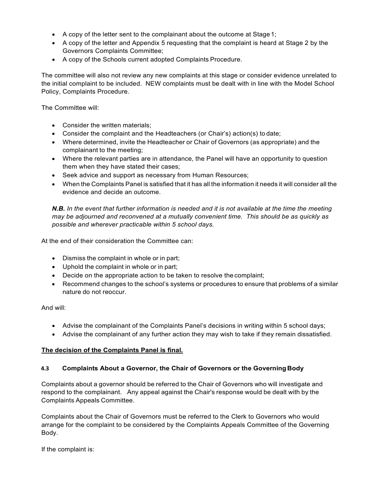- A copy of the letter sent to the complainant about the outcome at Stage 1;
- A copy of the letter and Appendix 5 requesting that the complaint is heard at Stage 2 by the Governors Complaints Committee;
- A copy of the Schools current adopted Complaints Procedure.

The committee will also not review any new complaints at this stage or consider evidence unrelated to the initial complaint to be included. NEW complaints must be dealt with in line with the Model School Policy, Complaints Procedure.

The Committee will:

- Consider the written materials;
- Consider the complaint and the Headteachers (or Chair's) action(s) to date;
- Where determined, invite the Headteacher or Chair of Governors (as appropriate) and the complainant to the meeting;
- Where the relevant parties are in attendance, the Panel will have an opportunity to question them when they have stated their cases;
- Seek advice and support as necessary from Human Resources;
- When the Complaints Panel is satisfied that it has all the information it needs it will consider all the evidence and decide an outcome.

*N.B. In the event that further information is needed and it is not available at the time the meeting may be adjourned and reconvened at a mutually convenient time. This should be as quickly as possible and wherever practicable within 5 school days.*

At the end of their consideration the Committee can:

- Dismiss the complaint in whole or in part;
- Uphold the complaint in whole or in part;
- Decide on the appropriate action to be taken to resolve the complaint;
- Recommend changes to the school's systems or procedures to ensure that problems of a similar nature do not reoccur.

And will:

- Advise the complainant of the Complaints Panel's decisions in writing within 5 school days;
- Advise the complainant of any further action they may wish to take if they remain dissatisfied.

## **The decision of the Complaints Panel is final.**

## **4.3 Complaints About a Governor, the Chair of Governors or the Governing Body**

Complaints about a governor should be referred to the Chair of Governors who will investigate and respond to the complainant. Any appeal against the Chair's response would be dealt with by the Complaints Appeals Committee.

Complaints about the Chair of Governors must be referred to the Clerk to Governors who would arrange for the complaint to be considered by the Complaints Appeals Committee of the Governing Body.

If the complaint is: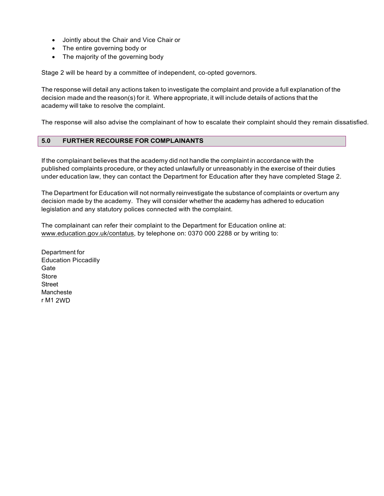- Jointly about the Chair and Vice Chair or
- The entire governing body or
- The majority of the governing body

Stage 2 will be heard by a committee of independent, co-opted governors.

The response will detail any actions taken to investigate the complaint and provide a full explanation of the decision made and the reason(s) for it. Where appropriate, it will include details of actions that the academy will take to resolve the complaint.

The response will also advise the complainant of how to escalate their complaint should they remain dissatisfied.

## **5.0 FURTHER RECOURSE FOR COMPLAINANTS**

If the complainant believes that the academy did not handle the complaint in accordance with the published complaints procedure, or they acted unlawfully or unreasonably in the exercise of their duties under education law, they can contact the Department for Education after they have completed Stage 2.

The Department for Education will not normally reinvestigate the substance of complaints or overturn any decision made by the academy. They will consider whether the academy has adhered to education legislation and any statutory polices connected with the complaint.

The complainant can refer their complaint to the Department for Education online at: [www.education.gov.uk/contatus, b](http://www.education.gov.uk/contatus)y telephone on: 0370 000 2288 or by writing to:

Department for Education Piccadilly Gate Store **Street** Mancheste r M1 2WD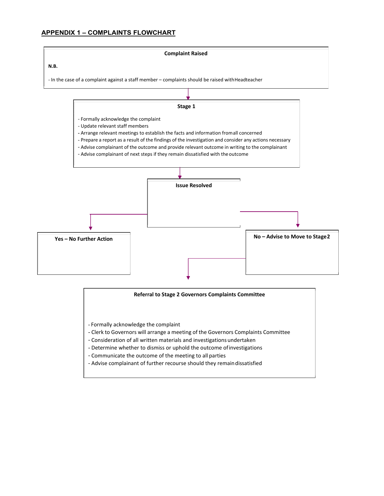## **APPENDIX 1 – COMPLAINTS FLOWCHART**



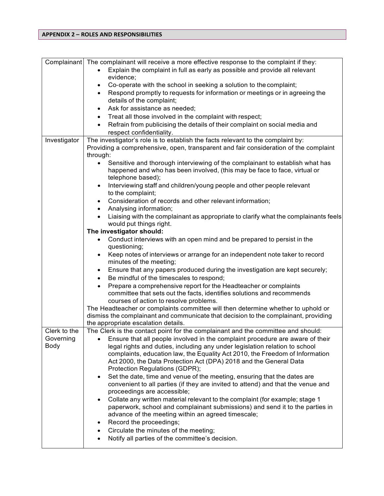## **APPENDIX 2 – ROLES AND RESPONSIBILITIES**

| Complainant  | The complainant will receive a more effective response to the complaint if they:                                                                                                            |
|--------------|---------------------------------------------------------------------------------------------------------------------------------------------------------------------------------------------|
|              | Explain the complaint in full as early as possible and provide all relevant<br>$\bullet$                                                                                                    |
|              | evidence;                                                                                                                                                                                   |
|              | Co-operate with the school in seeking a solution to the complaint;<br>$\bullet$                                                                                                             |
|              | Respond promptly to requests for information or meetings or in agreeing the<br>$\bullet$<br>details of the complaint;                                                                       |
|              | Ask for assistance as needed;<br>$\bullet$                                                                                                                                                  |
|              | Treat all those involved in the complaint with respect;<br>$\bullet$                                                                                                                        |
|              | Refrain from publicising the details of their complaint on social media and                                                                                                                 |
|              | respect confidentiality.                                                                                                                                                                    |
| Investigator | The investigator's role is to establish the facts relevant to the complaint by:                                                                                                             |
|              | Providing a comprehensive, open, transparent and fair consideration of the complaint<br>through:                                                                                            |
|              | Sensitive and thorough interviewing of the complainant to establish what has<br>$\bullet$<br>happened and who has been involved, (this may be face to face, virtual or<br>telephone based); |
|              | Interviewing staff and children/young people and other people relevant<br>$\bullet$<br>to the complaint;                                                                                    |
|              | Consideration of records and other relevant information;<br>$\bullet$                                                                                                                       |
|              | Analysing information;<br>$\bullet$                                                                                                                                                         |
|              | Liaising with the complainant as appropriate to clarify what the complainants feels<br>$\bullet$<br>would put things right.                                                                 |
|              | The investigator should:                                                                                                                                                                    |
|              | Conduct interviews with an open mind and be prepared to persist in the<br>questioning;                                                                                                      |
|              | Keep notes of interviews or arrange for an independent note taker to record<br>$\bullet$<br>minutes of the meeting;                                                                         |
|              | Ensure that any papers produced during the investigation are kept securely;<br>$\bullet$                                                                                                    |
|              | Be mindful of the timescales to respond;<br>$\bullet$                                                                                                                                       |
|              | Prepare a comprehensive report for the Headteacher or complaints                                                                                                                            |
|              | committee that sets out the facts, identifies solutions and recommends                                                                                                                      |
|              | courses of action to resolve problems.                                                                                                                                                      |
|              | The Headteacher or complaints committee will then determine whether to uphold or                                                                                                            |
|              | dismiss the complainant and communicate that decision to the complainant, providing                                                                                                         |
|              | the appropriate escalation details.                                                                                                                                                         |
| Clerk to the | The Clerk is the contact point for the complainant and the committee and should:                                                                                                            |
| Governing    | • Ensure that all people involved in the complaint procedure are aware of their                                                                                                             |
| Body         | legal rights and duties, including any under legislation relation to school                                                                                                                 |
|              | complaints, education law, the Equality Act 2010, the Freedom of Information                                                                                                                |
|              | Act 2000, the Data Protection Act (DPA) 2018 and the General Data<br>Protection Regulations (GDPR);                                                                                         |
|              | Set the date, time and venue of the meeting, ensuring that the dates are                                                                                                                    |
|              | $\bullet$<br>convenient to all parties (if they are invited to attend) and that the venue and                                                                                               |
|              | proceedings are accessible;                                                                                                                                                                 |
|              | Collate any written material relevant to the complaint (for example; stage 1<br>$\bullet$                                                                                                   |
|              | paperwork, school and complainant submissions) and send it to the parties in                                                                                                                |
|              | advance of the meeting within an agreed timescale;                                                                                                                                          |
|              | Record the proceedings;<br>٠                                                                                                                                                                |
|              | Circulate the minutes of the meeting;<br>$\bullet$                                                                                                                                          |
|              | Notify all parties of the committee's decision.<br>$\bullet$                                                                                                                                |
|              |                                                                                                                                                                                             |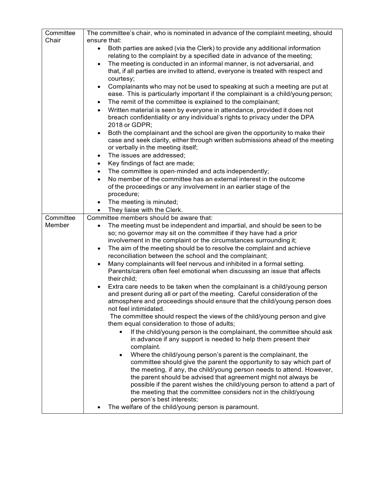| Committee<br>Chair | The committee's chair, who is nominated in advance of the complaint meeting, should<br>ensure that:                                                                        |
|--------------------|----------------------------------------------------------------------------------------------------------------------------------------------------------------------------|
|                    | Both parties are asked (via the Clerk) to provide any additional information<br>$\bullet$                                                                                  |
|                    | relating to the complaint by a specified date in advance of the meeting;                                                                                                   |
|                    | The meeting is conducted in an informal manner, is not adversarial, and<br>$\bullet$                                                                                       |
|                    | that, if all parties are invited to attend, everyone is treated with respect and                                                                                           |
|                    | courtesy;                                                                                                                                                                  |
|                    | Complainants who may not be used to speaking at such a meeting are put at<br>$\bullet$<br>ease. This is particularly important if the complainant is a child/young person; |
|                    | The remit of the committee is explained to the complainant;<br>$\bullet$                                                                                                   |
|                    | Written material is seen by everyone in attendance, provided it does not<br>$\bullet$                                                                                      |
|                    | breach confidentiality or any individual's rights to privacy under the DPA                                                                                                 |
|                    | 2018 or GDPR;                                                                                                                                                              |
|                    | Both the complainant and the school are given the opportunity to make their<br>$\bullet$                                                                                   |
|                    | case and seek clarity, either through written submissions ahead of the meeting<br>or verbally in the meeting itself;                                                       |
|                    | The issues are addressed;<br>$\bullet$                                                                                                                                     |
|                    | Key findings of fact are made;<br>$\bullet$                                                                                                                                |
|                    | The committee is open-minded and acts independently;<br>$\bullet$                                                                                                          |
|                    | No member of the committee has an external interest in the outcome<br>$\bullet$                                                                                            |
|                    | of the proceedings or any involvement in an earlier stage of the                                                                                                           |
|                    | procedure;                                                                                                                                                                 |
|                    | The meeting is minuted;<br>$\bullet$<br>They liaise with the Clerk.                                                                                                        |
| Committee          | $\bullet$<br>Committee members should be aware that:                                                                                                                       |
| Member             | The meeting must be independent and impartial, and should be seen to be<br>$\bullet$                                                                                       |
|                    | so; no governor may sit on the committee if they have had a prior                                                                                                          |
|                    | involvement in the complaint or the circumstances surrounding it;                                                                                                          |
|                    | The aim of the meeting should be to resolve the complaint and achieve<br>$\bullet$                                                                                         |
|                    | reconciliation between the school and the complainant;                                                                                                                     |
|                    | Many complainants will feel nervous and inhibited in a formal setting.                                                                                                     |
|                    | Parents/carers often feel emotional when discussing an issue that affects<br>their child;                                                                                  |
|                    | Extra care needs to be taken when the complainant is a child/young person                                                                                                  |
|                    | and present during all or part of the meeting. Careful consideration of the                                                                                                |
|                    | atmosphere and proceedings should ensure that the child/young person does                                                                                                  |
|                    | not feel intimidated.                                                                                                                                                      |
|                    | The committee should respect the views of the child/young person and give<br>them equal consideration to those of adults;                                                  |
|                    | If the child/young person is the complainant, the committee should ask<br>$\bullet$                                                                                        |
|                    | in advance if any support is needed to help them present their                                                                                                             |
|                    | complaint.                                                                                                                                                                 |
|                    | Where the child/young person's parent is the complainant, the<br>$\bullet$                                                                                                 |
|                    | committee should give the parent the opportunity to say which part of                                                                                                      |
|                    | the meeting, if any, the child/young person needs to attend. However,<br>the parent should be advised that agreement might not always be                                   |
|                    | possible if the parent wishes the child/young person to attend a part of                                                                                                   |
|                    | the meeting that the committee considers not in the child/young                                                                                                            |
|                    | person's best interests;                                                                                                                                                   |
|                    | The welfare of the child/young person is paramount.                                                                                                                        |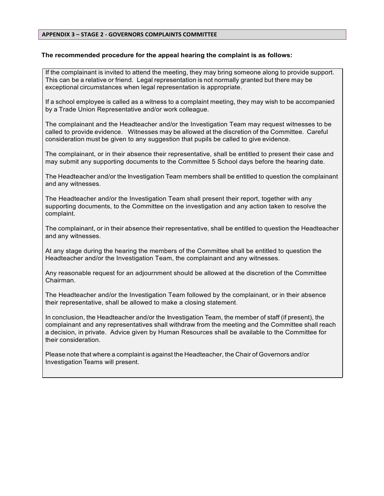#### **APPENDIX 3 – STAGE 2 ‐ GOVERNORS COMPLAINTS COMMITTEE**

#### **The recommended procedure for the appeal hearing the complaint is as follows:**

If the complainant is invited to attend the meeting, they may bring someone along to provide support. This can be a relative or friend. Legal representation is not normally granted but there may be exceptional circumstances when legal representation is appropriate.

If a school employee is called as a witness to a complaint meeting, they may wish to be accompanied by a Trade Union Representative and/or work colleague.

The complainant and the Headteacher and/or the Investigation Team may request witnesses to be called to provide evidence. Witnesses may be allowed at the discretion of the Committee. Careful consideration must be given to any suggestion that pupils be called to give evidence.

The complainant, or in their absence their representative, shall be entitled to present their case and may submit any supporting documents to the Committee 5 School days before the hearing date.

The Headteacher and/or the Investigation Team members shall be entitled to question the complainant and any witnesses.

The Headteacher and/or the Investigation Team shall present their report, together with any supporting documents, to the Committee on the investigation and any action taken to resolve the complaint.

The complainant, or in their absence their representative, shall be entitled to question the Headteacher and any witnesses.

At any stage during the hearing the members of the Committee shall be entitled to question the Headteacher and/or the Investigation Team, the complainant and any witnesses.

Any reasonable request for an adjournment should be allowed at the discretion of the Committee Chairman.

The Headteacher and/or the Investigation Team followed by the complainant, or in their absence their representative, shall be allowed to make a closing statement.

In conclusion, the Headteacher and/or the Investigation Team, the member of staff (if present), the complainant and any representatives shall withdraw from the meeting and the Committee shall reach a decision, in private. Advice given by Human Resources shall be available to the Committee for their consideration.

Please note that where a complaint is against the Headteacher, the Chair of Governors and/or Investigation Teams will present.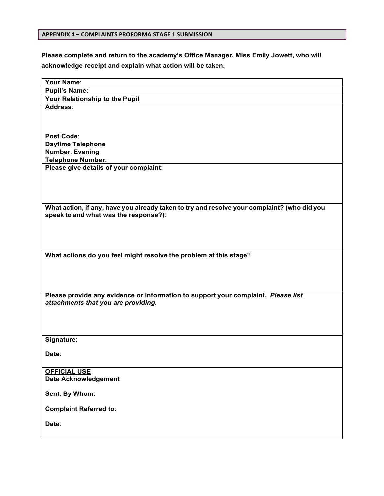#### **APPENDIX 4 – COMPLAINTS PROFORMA STAGE 1 SUBMISSION**

**Please complete and return to the academy's Office Manager, Miss Emily Jowett, who will acknowledge receipt and explain what action will be taken.**

| Your Name:                                                                                  |
|---------------------------------------------------------------------------------------------|
| <b>Pupil's Name:</b>                                                                        |
| Your Relationship to the Pupil:                                                             |
| Address:                                                                                    |
|                                                                                             |
|                                                                                             |
| Post Code:                                                                                  |
| <b>Daytime Telephone</b>                                                                    |
| <b>Number: Evening</b>                                                                      |
| <b>Telephone Number:</b>                                                                    |
| Please give details of your complaint:                                                      |
|                                                                                             |
|                                                                                             |
|                                                                                             |
|                                                                                             |
| What action, if any, have you already taken to try and resolve your complaint? (who did you |
| speak to and what was the response?):                                                       |
|                                                                                             |
|                                                                                             |
|                                                                                             |
| What actions do you feel might resolve the problem at this stage?                           |
|                                                                                             |
|                                                                                             |
|                                                                                             |
|                                                                                             |
| Please provide any evidence or information to support your complaint. Please list           |
| attachments that you are providing.                                                         |
|                                                                                             |
|                                                                                             |
|                                                                                             |
| Signature:                                                                                  |
|                                                                                             |
| Date:                                                                                       |
|                                                                                             |
| <b>OFFICIAL USE</b>                                                                         |
| <b>Date Acknowledgement</b>                                                                 |
|                                                                                             |
| Sent: By Whom:                                                                              |
|                                                                                             |
| <b>Complaint Referred to:</b>                                                               |
| Date:                                                                                       |